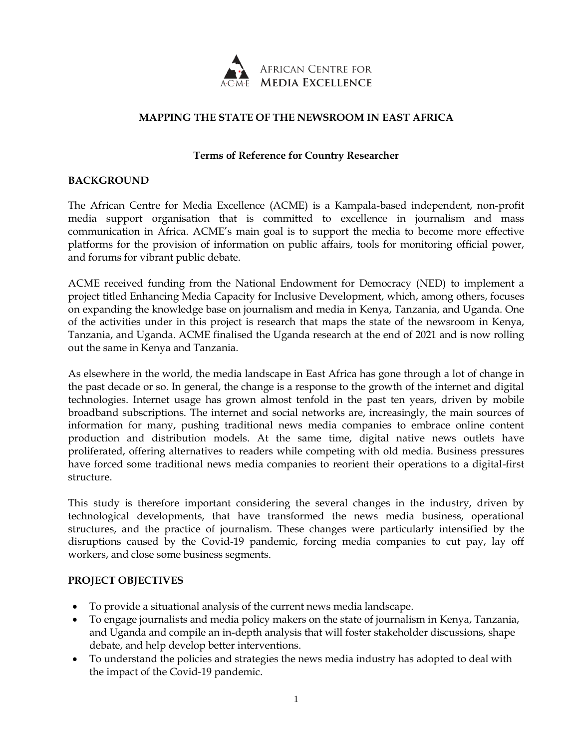

## **MAPPING THE STATE OF THE NEWSROOM IN EAST AFRICA**

### **Terms of Reference for Country Researcher**

#### **BACKGROUND**

The African Centre for Media Excellence (ACME) is a Kampala-based independent, non-profit media support organisation that is committed to excellence in journalism and mass communication in Africa. ACME's main goal is to support the media to become more effective platforms for the provision of information on public affairs, tools for monitoring official power, and forums for vibrant public debate.

ACME received funding from the National Endowment for Democracy (NED) to implement a project titled Enhancing Media Capacity for Inclusive Development, which, among others, focuses on expanding the knowledge base on journalism and media in Kenya, Tanzania, and Uganda. One of the activities under in this project is research that maps the state of the newsroom in Kenya, Tanzania, and Uganda. ACME finalised the Uganda research at the end of 2021 and is now rolling out the same in Kenya and Tanzania.

As elsewhere in the world, the media landscape in East Africa has gone through a lot of change in the past decade or so. In general, the change is a response to the growth of the internet and digital technologies. Internet usage has grown almost tenfold in the past ten years, driven by mobile broadband subscriptions. The internet and social networks are, increasingly, the main sources of information for many, pushing traditional news media companies to embrace online content production and distribution models. At the same time, digital native news outlets have proliferated, offering alternatives to readers while competing with old media. Business pressures have forced some traditional news media companies to reorient their operations to a digital-first structure.

This study is therefore important considering the several changes in the industry, driven by technological developments, that have transformed the news media business, operational structures, and the practice of journalism. These changes were particularly intensified by the disruptions caused by the Covid-19 pandemic, forcing media companies to cut pay, lay off workers, and close some business segments.

### **PROJECT OBJECTIVES**

- To provide a situational analysis of the current news media landscape.
- To engage journalists and media policy makers on the state of journalism in Kenya, Tanzania, and Uganda and compile an in-depth analysis that will foster stakeholder discussions, shape debate, and help develop better interventions.
- To understand the policies and strategies the news media industry has adopted to deal with the impact of the Covid-19 pandemic.